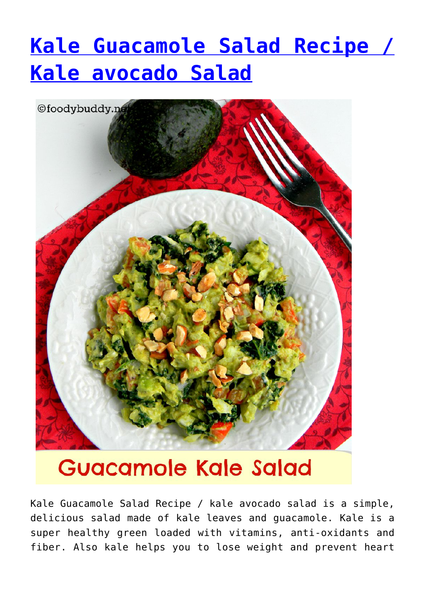## **[Kale Guacamole Salad Recipe /](http://foodybuddy.net/2015/08/26/kale-guacamole-salad-recipe-kale-avocado-salad.html) [Kale avocado Salad](http://foodybuddy.net/2015/08/26/kale-guacamole-salad-recipe-kale-avocado-salad.html)**



## **Guacamole Kale Salad**

Kale Guacamole Salad Recipe / kale avocado salad is a simple, delicious salad made of kale leaves and guacamole. Kale is a super healthy green loaded with vitamins, anti-oxidants and fiber. Also kale helps you to lose weight and prevent heart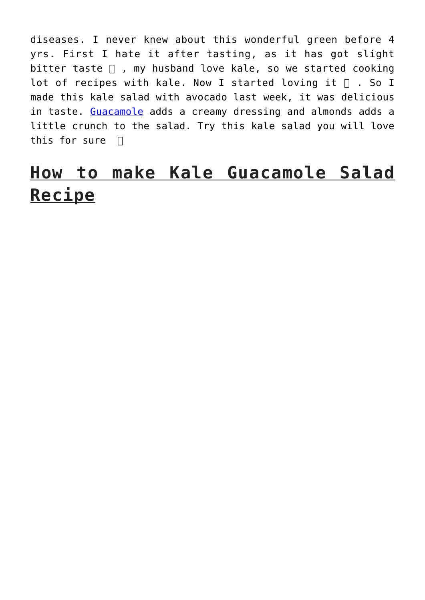diseases. I never knew about this wonderful green before 4 yrs. First I hate it after tasting, as it has got slight bitter taste  $\Box$ , my husband love kale, so we started cooking lot of recipes with kale. Now I started loving it  $\Box$ . So I made this kale salad with avocado last week, it was delicious in taste. [Guacamole](http://foodybuddy.net/2012/10/13/guacamole-authentic-mexican-avocado-dip.html) adds a creamy dressing and almonds adds a little crunch to the salad. Try this kale salad you will love this for sure  $\Box$ 

## **How to make Kale Guacamole Salad Recipe**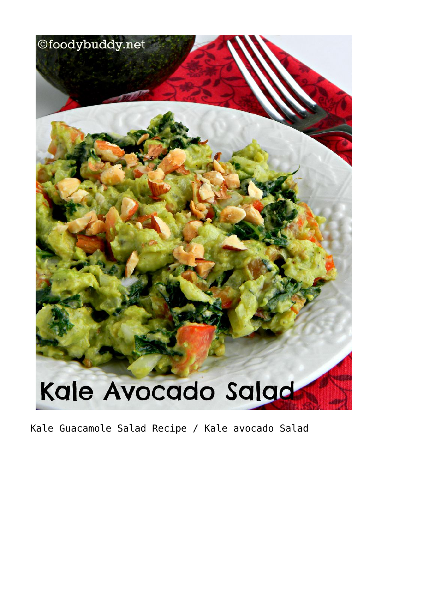

Kale Guacamole Salad Recipe / Kale avocado Salad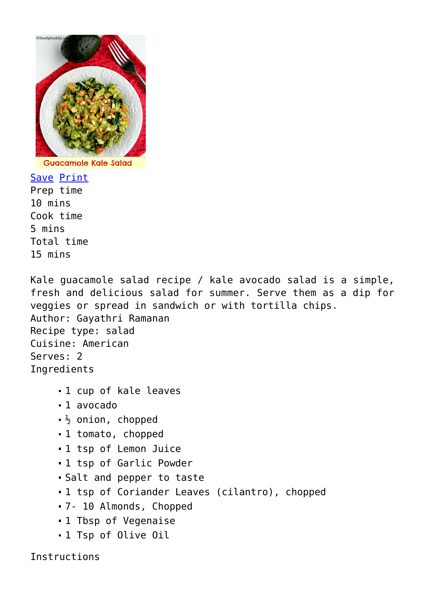

**Guacamole Kale Salad** 

Save [Print](http://foodybuddy.net/easyrecipe-print/3050-0/) Prep time 10 mins Cook time 5 mins Total time 15 mins

Kale guacamole salad recipe / kale avocado salad is a simple, fresh and delicious salad for summer. Serve them as a dip for veggies or spread in sandwich or with tortilla chips. Author: Gayathri Ramanan Recipe type: salad Cuisine: American Serves: 2 Ingredients

- 1 cup of kale leaves
- 1 avocado
- $\frac{1}{2}$  onion, chopped
- 1 tomato, chopped
- 1 tsp of Lemon Juice
- 1 tsp of Garlic Powder
- Salt and pepper to taste
- 1 tsp of Coriander Leaves (cilantro), chopped
- 7- 10 Almonds, Chopped
- 1 Tbsp of Vegenaise
- 1 Tsp of Olive Oil

Instructions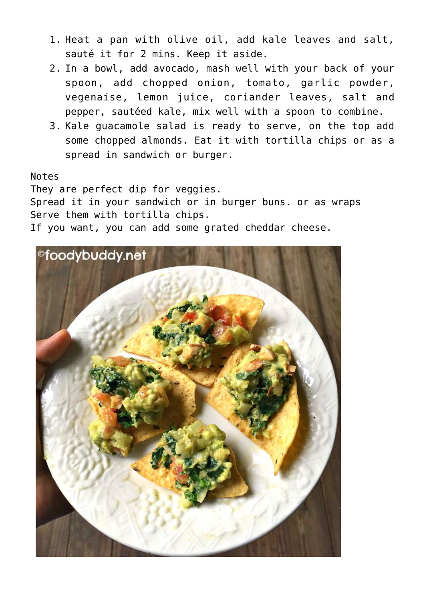- 1. Heat a pan with olive oil, add kale leaves and salt, sauté it for 2 mins. Keep it aside.
- 2. In a bowl, add avocado, mash well with your back of your spoon, add chopped onion, tomato, garlic powder, vegenaise, lemon juice, coriander leaves, salt and pepper, sautéed kale, mix well with a spoon to combine.
- 3. Kale guacamole salad is ready to serve, on the top add some chopped almonds. Eat it with tortilla chips or as a spread in sandwich or burger.

Notes

They are perfect dip for veggies.

Spread it in your sandwich or in burger buns. or as wraps Serve them with tortilla chips.

If you want, you can add some grated cheddar cheese.